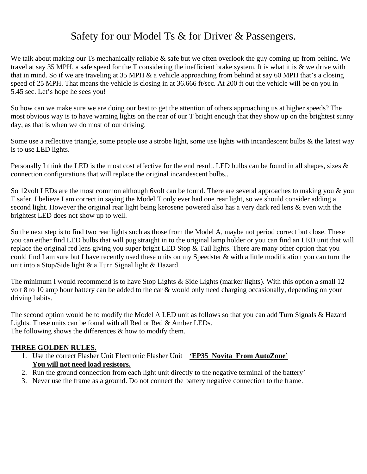# Safety for our Model Ts & for Driver & Passengers.

We talk about making our Ts mechanically reliable & safe but we often overlook the guy coming up from behind. We travel at say 35 MPH, a safe speed for the T considering the inefficient brake system. It is what it is & we drive with that in mind. So if we are traveling at 35 MPH & a vehicle approaching from behind at say 60 MPH that's a closing speed of 25 MPH. That means the vehicle is closing in at 36.666 ft/sec. At 200 ft out the vehicle will be on you in 5.45 sec. Let's hope he sees you!

So how can we make sure we are doing our best to get the attention of others approaching us at higher speeds? The most obvious way is to have warning lights on the rear of our T bright enough that they show up on the brightest sunny day, as that is when we do most of our driving.

Some use a reflective triangle, some people use a strobe light, some use lights with incandescent bulbs & the latest way is to use LED lights.

Personally I think the LED is the most cost effective for the end result. LED bulbs can be found in all shapes, sizes & connection configurations that will replace the original incandescent bulbs..

So 12volt LEDs are the most common although 6volt can be found. There are several approaches to making you & you T safer. I believe I am correct in saying the Model T only ever had one rear light, so we should consider adding a second light. However the original rear light being kerosene powered also has a very dark red lens & even with the brightest LED does not show up to well.

So the next step is to find two rear lights such as those from the Model A, maybe not period correct but close. These you can either find LED bulbs that will pug straight in to the original lamp holder or you can find an LED unit that will replace the original red lens giving you super bright LED Stop & Tail lights. There are many other option that you could find I am sure but I have recently used these units on my Speedster & with a little modification you can turn the unit into a Stop/Side light & a Turn Signal light & Hazard.

The minimum I would recommend is to have Stop Lights & Side Lights (marker lights). With this option a small 12 volt 8 to 10 amp hour battery can be added to the car & would only need charging occasionally, depending on your driving habits.

The second option would be to modify the Model A LED unit as follows so that you can add Turn Signals & Hazard Lights. These units can be found with all Red or Red & Amber LEDs. The following shows the differences  $\&$  how to modify them.

## **THREE GOLDEN RULES.**

- 1. Use the correct Flasher Unit Electronic Flasher Unit **'EP35 Novita From AutoZone' You will not need load resistors.**
- 2. Run the ground connection from each light unit directly to the negative terminal of the battery'
- 3. Never use the frame as a ground. Do not connect the battery negative connection to the frame.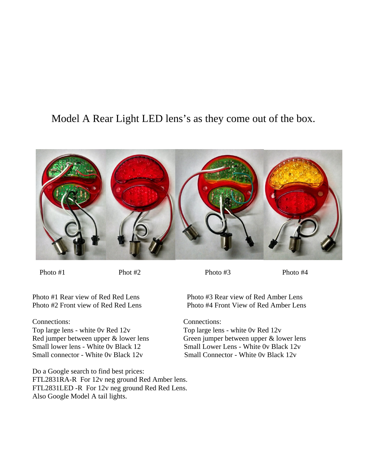# Model A Rear Light LED lens's as they come out of the box.



Photo #1 Phot #2 Photo #3 Photo #4

Top large lens - white 0v Red 12v<br>
Red jumper between upper & lower lens<br>
Green jumper between upper & lo Small connector - White 0v Black 12v Small Connector - White 0v Black 12v

Do a Google search to find best prices: FTL2831RA-R For 12v neg ground Red Amber lens. FTL2831LED -R For 12v neg ground Red Red Lens. Also Google Model A tail lights.

 Photo #1 Rear view of Red Red Lens Photo #3 Rear view of Red Amber Lens Photo #2 Front view of Red Red Lens Photo #4 Front View of Red Amber Lens

Connections: Connections:

Green jumper between upper & lower lens Small lower lens - White 0v Black 12 Small Lower Lens - White 0v Black 12v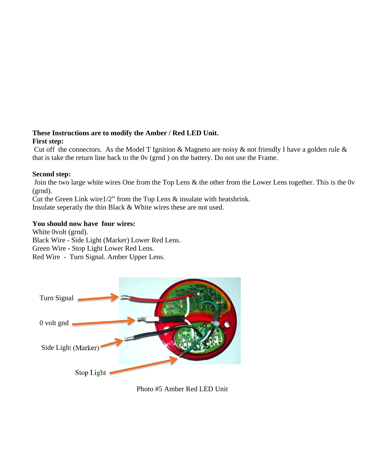#### **These Instructions are to modify the Amber / Red LED Unit. First step:**

Cut off the connectors. As the Model T Ignition & Magneto are noisy & not friendly I have a golden rule  $\&$ that is take the return line back to the 0v (grnd ) on the battery. Do not use the Frame.

## **Second step:**

 Join the two large white wires One from the Top Lens & the other from the Lower Lens together. This is the 0v (grnd).

Cut the Green Link wire1/2" from the Top Lens & insulate with heatshrink. Insulate seperatly the thin Black & White wires these are not used.

## **You should now have four wires:**

White 0volt (grnd). Black Wire - Side Light (Marker) Lower Red Lens. Green Wire - Stop Light Lower Red Lens. Red Wire - Turn Signal. Amber Upper Lens.



Photo #5 Amber Red LED Unit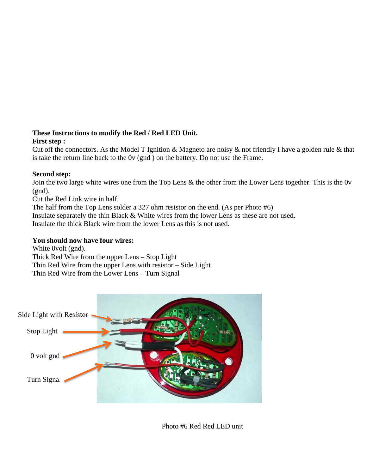# **These Instructions to modify the Red / Red LED Unit.**

## **First step :**

Cut off the connectors. As the Model T Ignition & Magneto are noisy & not friendly I have a golden rule & that is take the return line back to the 0v (gnd ) on the battery. Do not use the Frame.

## **Second step:**

Join the two large white wires one from the Top Lens & the other from the Lower Lens together. This is the 0v  $(gnd).$ 

Cut the Red Link wire in half.

The half from the Top Lens solder a 327 ohm resistor on the end. (As per Photo #6)

Insulate separately the thin Black & White wires from the lower Lens as these are not used.

Insulate the thick Black wire from the lower Lens as this is not used.

## **You should now have four wires:**

White 0volt (gnd). Thick Red Wire from the upper Lens – Stop Light Thin Red Wire from the upper Lens with resistor – Side Light Thin Red Wire from the Lower Lens – Turn Signal



Photo #6 Red Red LED unit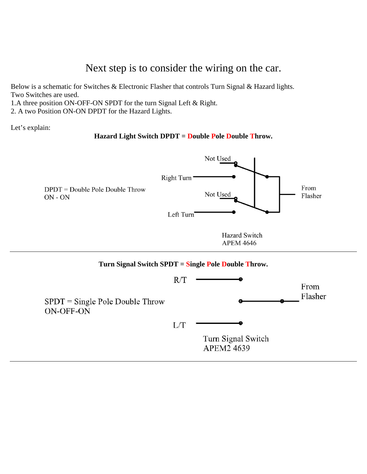Next step is to consider the wiring on the car.

Below is a schematic for Switches & Electronic Flasher that controls Turn Signal & Hazard lights. Two Switches are used.

1.A three position ON-OFF-ON SPDT for the turn Signal Left & Right.

2. A two Position ON-ON DPDT for the Hazard Lights.

Let's explain:

## **Hazard Light Switch DPDT = Double Pole Double Throw.**